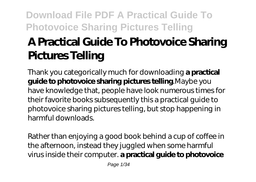# **A Practical Guide To Photovoice Sharing Pictures Telling**

Thank you categorically much for downloading **a practical guide to photovoice sharing pictures telling**.Maybe you have knowledge that, people have look numerous times for their favorite books subsequently this a practical guide to photovoice sharing pictures telling, but stop happening in harmful downloads.

Rather than enjoying a good book behind a cup of coffee in the afternoon, instead they juggled when some harmful virus inside their computer. **a practical guide to photovoice**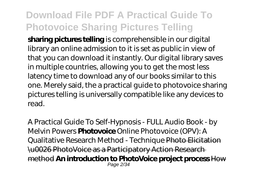**sharing pictures telling** is comprehensible in our digital library an online admission to it is set as public in view of that you can download it instantly. Our digital library saves in multiple countries, allowing you to get the most less latency time to download any of our books similar to this one. Merely said, the a practical guide to photovoice sharing pictures telling is universally compatible like any devices to read.

*A Practical Guide To Self-Hypnosis - FULL Audio Book - by Melvin Powers* **Photovoice** *Online Photovoice (OPV): A Qualitative Research Method - Technique* Photo Elicitation \u0026 PhotoVoice as a Participatory Action Research method **An introduction to PhotoVoice project process** How Page 2/34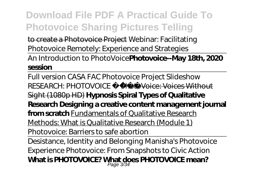to create a Photovoice Project *Webinar: Facilitating Photovoice Remotely: Experience and Strategies* An Introduction to PhotoVoice**Photovoice--May 18th, 2020 session**

Full version CASA FAC Photovoice Project Slideshow *RESEARCH: PHOTOVOICE* PhotoVoice: Voices Without Sight (1080p HD) **Hypnosis Spiral Types of Qualitative Research Designing a creative content management journal from scratch** Fundamentals of Qualitative Research Methods: What is Qualitative Research (Module 1) Photovoice: Barriers to safe abortion Desistance, Identity and Belonging Manisha's Photovoice Experience Photovoice: From Snapshots to Civic Action **What is PHOTOVOICE? What does PHOTOVOICE mean?** Page 3/34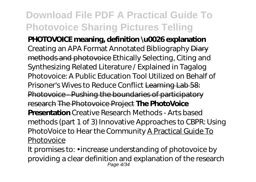**PHOTOVOICE meaning, definition \u0026 explanation** *Creating an APA Format Annotated Bibliography* Diary methods and photovoice Ethically Selecting, Citing and Synthesizing Related Literature / Explained in Tagalog Photovoice: A Public Education Tool Utilized on Behalf of Prisoner's Wives to Reduce Conflict Learning Lab 58: Photovoice - Pushing the boundaries of participatory research The Photovoice Project **The PhotoVoice Presentation** *Creative Research Methods - Arts based methods (part 1 of 3) Innovative Approaches to CBPR: Using PhotoVoice to Hear the Community* A Practical Guide To **Photovoice** 

It promises to: • increase understanding of photovoice by providing a clear definition and explanation of the research Page 4/34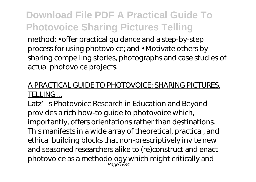method; • offer practical guidance and a step-by-step process for using photovoice; and • Motivate others by sharing compelling stories, photographs and case studies of actual photovoice projects.

#### A PRACTICAL GUIDE TO PHOTOVOICE: SHARING PICTURES, TELLING ...

Latz' s Photovoice Research in Education and Beyond provides a rich how-to guide to photovoice which, importantly, offers orientations rather than destinations. This manifests in a wide array of theoretical, practical, and ethical building blocks that non-prescriptively invite new and seasoned researchers alike to (re)construct and enact photovoice as a methodology which might critically and Page 5/34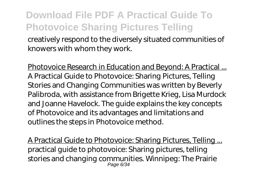creatively respond to the diversely situated communities of knowers with whom they work.

Photovoice Research in Education and Beyond: A Practical ... A Practical Guide to Photovoice: Sharing Pictures, Telling Stories and Changing Communities was written by Beverly Palibroda, with assistance from Brigette Krieg, Lisa Murdock and Joanne Havelock. The guide explains the key concepts of Photovoice and its advantages and limitations and outlines the steps in Photovoice method.

A Practical Guide to Photovoice: Sharing Pictures, Telling ... practical guide to photovoice: Sharing pictures, telling stories and changing communities. Winnipeg: The Prairie Page 6/34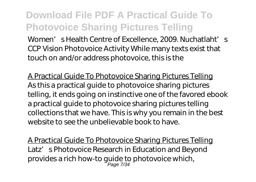Women' s Health Centre of Excellence, 2009. Nuchatlaht's CCP Vision Photovoice Activity While many texts exist that touch on and/or address photovoice, this is the

A Practical Guide To Photovoice Sharing Pictures Telling As this a practical guide to photovoice sharing pictures telling, it ends going on instinctive one of the favored ebook a practical guide to photovoice sharing pictures telling collections that we have. This is why you remain in the best website to see the unbelievable book to have.

A Practical Guide To Photovoice Sharing Pictures Telling Latz' s Photovoice Research in Education and Beyond provides a rich how-to guide to photovoice which, Page 7/34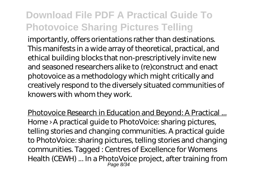importantly, offers orientations rather than destinations. This manifests in a wide array of theoretical, practical, and ethical building blocks that non-prescriptively invite new and seasoned researchers alike to (re)construct and enact photovoice as a methodology which might critically and creatively respond to the diversely situated communities of knowers with whom they work.

Photovoice Research in Education and Beyond: A Practical ... Home › A practical guide to PhotoVoice: sharing pictures, telling stories and changing communities. A practical guide to PhotoVoice: sharing pictures, telling stories and changing communities. Tagged : Centres of Excellence for Womens Health (CEWH) ... In a PhotoVoice project, after training from Page 8/34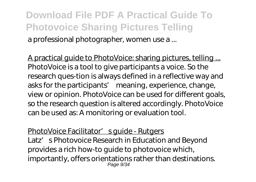#### **Download File PDF A Practical Guide To Photovoice Sharing Pictures Telling** a professional photographer, women use a ...

A practical guide to PhotoVoice: sharing pictures, telling ... PhotoVoice is a tool to give participants a voice. So the research ques-tion is always defined in a reflective way and asks for the participants' meaning, experience, change, view or opinion. PhotoVoice can be used for different goals, so the research question is altered accordingly. PhotoVoice can be used as: A monitoring or evaluation tool.

PhotoVoice Facilitator' squide - Rutgers Latz' s Photovoice Research in Education and Beyond provides a rich how-to guide to photovoice which, importantly, offers orientations rather than destinations. Page 9/34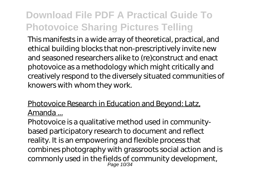This manifests in a wide array of theoretical, practical, and ethical building blocks that non-prescriptively invite new and seasoned researchers alike to (re)construct and enact photovoice as a methodology which might critically and creatively respond to the diversely situated communities of knowers with whom they work.

#### Photovoice Research in Education and Beyond: Latz, Amanda ...

Photovoice is a qualitative method used in communitybased participatory research to document and reflect reality. It is an empowering and flexible process that combines photography with grassroots social action and is commonly used in the fields of community development, Page 10/34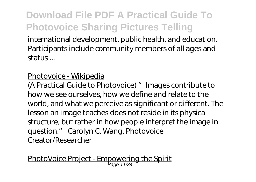international development, public health, and education. Participants include community members of all ages and status ...

#### Photovoice - Wikipedia

(A Practical Guide to Photovoice) "Images contribute to how we see ourselves, how we define and relate to the world, and what we perceive as significant or different. The lesson an image teaches does not reside in its physical structure, but rather in how people interpret the image in question." Carolyn C. Wang, Photovoice Creator/Researcher

PhotoVoice Project - Empowering the Spirit Page 11/34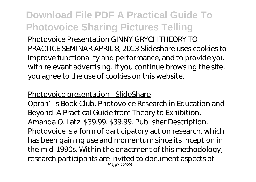Photovoice Presentation GINNY GRYCH THEORY TO PRACTICE SEMINAR APRIL 8, 2013 Slideshare uses cookies to improve functionality and performance, and to provide you with relevant advertising. If you continue browsing the site, you agree to the use of cookies on this website.

#### Photovoice presentation - SlideShare

Oprah' s Book Club. Photovoice Research in Education and Beyond. A Practical Guide from Theory to Exhibition. Amanda O. Latz. \$39.99. \$39.99. Publisher Description. Photovoice is a form of participatory action research, which has been gaining use and momentum since its inception in the mid-1990s. Within the enactment of this methodology, research participants are invited to document aspects of Page 12/34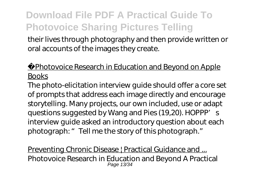their lives through photography and then provide written or oral accounts of the images they create.

Photovoice Research in Education and Beyond on Apple **Books** 

The photo-elicitation interview guide should offer a core set of prompts that address each image directly and encourage storytelling. Many projects, our own included, use or adapt questions suggested by Wang and Pies (19,20). HOPPP's interview guide asked an introductory question about each photograph: " Tell me the story of this photograph."

Preventing Chronic Disease | Practical Guidance and ... Photovoice Research in Education and Beyond A Practical Page 13/34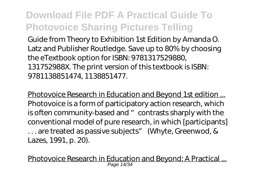Guide from Theory to Exhibition 1st Edition by Amanda O. Latz and Publisher Routledge. Save up to 80% by choosing the eTextbook option for ISBN: 9781317529880, 131752988X. The print version of this textbook is ISBN: 9781138851474, 1138851477.

Photovoice Research in Education and Beyond 1st edition ... Photovoice is a form of participatory action research, which is often community-based and "contrasts sharply with the conventional model of pure research, in which [participants] . . . are treated as passive subjects" (Whyte, Greenwod, & Lazes, 1991, p. 20).

Photovoice Research in Education and Beyond: A Practical ... Page 14/34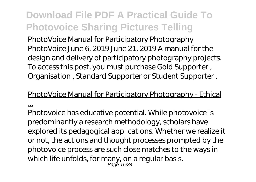PhotoVoice Manual for Participatory Photography PhotoVoice June 6, 2019 June 21, 2019 A manual for the design and delivery of participatory photography projects. To access this post, you must purchase Gold Supporter , Organisation , Standard Supporter or Student Supporter .

#### PhotoVoice Manual for Participatory Photography - Ethical

...

Photovoice has educative potential. While photovoice is predominantly a research methodology, scholars have explored its pedagogical applications. Whether we realize it or not, the actions and thought processes prompted by the photovoice process are such close matches to the ways in which life unfolds, for many, on a regular basis. Page 15/34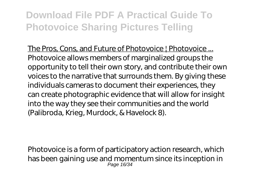The Pros, Cons, and Future of Photovoice | Photovoice ... Photovoice allows members of marginalized groups the opportunity to tell their own story, and contribute their own voices to the narrative that surrounds them. By giving these individuals cameras to document their experiences, they can create photographic evidence that will allow for insight into the way they see their communities and the world (Palibroda, Krieg, Murdock, & Havelock 8).

Photovoice is a form of participatory action research, which has been gaining use and momentum since its inception in Page 16/34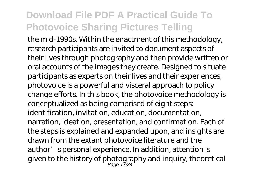the mid-1990s. Within the enactment of this methodology, research participants are invited to document aspects of their lives through photography and then provide written or oral accounts of the images they create. Designed to situate participants as experts on their lives and their experiences, photovoice is a powerful and visceral approach to policy change efforts. In this book, the photovoice methodology is conceptualized as being comprised of eight steps: identification, invitation, education, documentation, narration, ideation, presentation, and confirmation. Each of the steps is explained and expanded upon, and insights are drawn from the extant photovoice literature and the author' spersonal experience. In addition, attention is given to the history of photography and inquiry, theoretical Page 17/34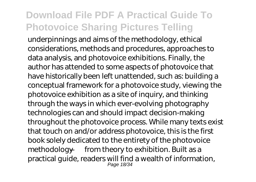underpinnings and aims of the methodology, ethical considerations, methods and procedures, approaches to data analysis, and photovoice exhibitions. Finally, the author has attended to some aspects of photovoice that have historically been left unattended, such as: building a conceptual framework for a photovoice study, viewing the photovoice exhibition as a site of inquiry, and thinking through the ways in which ever-evolving photography technologies can and should impact decision-making throughout the photovoice process. While many texts exist that touch on and/or address photovoice, this is the first book solely dedicated to the entirety of the photovoice methodology — from theory to exhibition. Built as a practical guide, readers will find a wealth of information, Page 18/34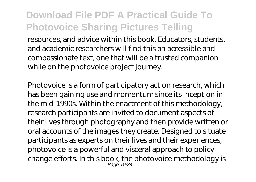resources, and advice within this book. Educators, students, and academic researchers will find this an accessible and compassionate text, one that will be a trusted companion while on the photovoice project journey.

Photovoice is a form of participatory action research, which has been gaining use and momentum since its inception in the mid-1990s. Within the enactment of this methodology, research participants are invited to document aspects of their lives through photography and then provide written or oral accounts of the images they create. Designed to situate participants as experts on their lives and their experiences, photovoice is a powerful and visceral approach to policy change efforts. In this book, the photovoice methodology is Page 19/34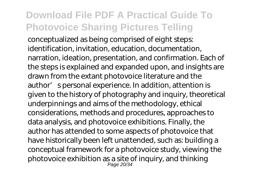conceptualized as being comprised of eight steps: identification, invitation, education, documentation, narration, ideation, presentation, and confirmation. Each of the steps is explained and expanded upon, and insights are drawn from the extant photovoice literature and the author' spersonal experience. In addition, attention is given to the history of photography and inquiry, theoretical underpinnings and aims of the methodology, ethical considerations, methods and procedures, approaches to data analysis, and photovoice exhibitions. Finally, the author has attended to some aspects of photovoice that have historically been left unattended, such as: building a conceptual framework for a photovoice study, viewing the photovoice exhibition as a site of inquiry, and thinking Page 20/34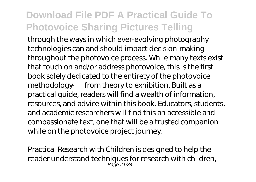through the ways in which ever-evolving photography technologies can and should impact decision-making throughout the photovoice process. While many texts exist that touch on and/or address photovoice, this is the first book solely dedicated to the entirety of the photovoice methodology — from theory to exhibition. Built as a practical guide, readers will find a wealth of information, resources, and advice within this book. Educators, students, and academic researchers will find this an accessible and compassionate text, one that will be a trusted companion while on the photovoice project journey.

Practical Research with Children is designed to help the reader understand techniques for research with children, Page 21/34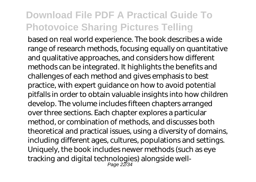based on real world experience. The book describes a wide range of research methods, focusing equally on quantitative and qualitative approaches, and considers how different methods can be integrated. It highlights the benefits and challenges of each method and gives emphasis to best practice, with expert guidance on how to avoid potential pitfalls in order to obtain valuable insights into how children develop. The volume includes fifteen chapters arranged over three sections. Each chapter explores a particular method, or combination of methods, and discusses both theoretical and practical issues, using a diversity of domains, including different ages, cultures, populations and settings. Uniquely, the book includes newer methods (such as eye tracking and digital technologies) alongside well-Page 22/34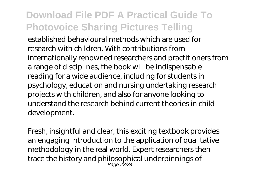established behavioural methods which are used for research with children. With contributions from internationally renowned researchers and practitioners from a range of disciplines, the book will be indispensable reading for a wide audience, including for students in psychology, education and nursing undertaking research projects with children, and also for anyone looking to understand the research behind current theories in child development.

Fresh, insightful and clear, this exciting textbook provides an engaging introduction to the application of qualitative methodology in the real world. Expert researchers then trace the history and philosophical underpinnings of Page 23/34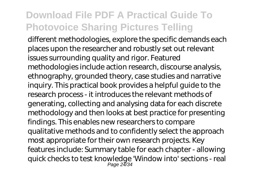different methodologies, explore the specific demands each places upon the researcher and robustly set out relevant issues surrounding quality and rigor. Featured methodologies include action research, discourse analysis, ethnography, grounded theory, case studies and narrative inquiry. This practical book provides a helpful guide to the research process - it introduces the relevant methods of generating, collecting and analysing data for each discrete methodology and then looks at best practice for presenting findings. This enables new researchers to compare qualitative methods and to confidently select the approach most appropriate for their own research projects. Key features include: Summary table for each chapter - allowing quick checks to test knowledge 'Window into' sections - real Page 24/34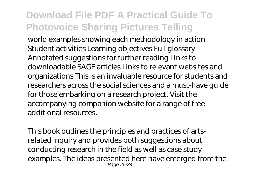world examples showing each methodology in action Student activities Learning objectives Full glossary Annotated suggestions for further reading Links to downloadable SAGE articles Links to relevant websites and organizations This is an invaluable resource for students and researchers across the social sciences and a must-have guide for those embarking on a research project. Visit the accompanying companion website for a range of free additional resources.

This book outlines the principles and practices of artsrelated inquiry and provides both suggestions about conducting research in the field as well as case study examples. The ideas presented here have emerged from the Page 25/34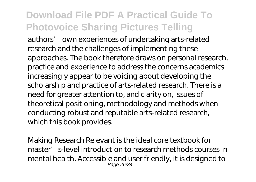authors' own experiences of undertaking arts-related research and the challenges of implementing these approaches. The book therefore draws on personal research, practice and experience to address the concerns academics increasingly appear to be voicing about developing the scholarship and practice of arts-related research. There is a need for greater attention to, and clarity on, issues of theoretical positioning, methodology and methods when conducting robust and reputable arts-related research, which this book provides.

Making Research Relevant is the ideal core textbook for master's-level introduction to research methods courses in mental health. Accessible and user friendly, it is designed to Page 26/34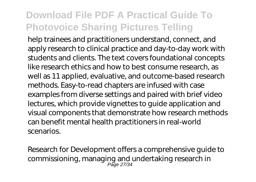help trainees and practitioners understand, connect, and apply research to clinical practice and day-to-day work with students and clients. The text covers foundational concepts like research ethics and how to best consume research, as well as 11 applied, evaluative, and outcome-based research methods. Easy-to-read chapters are infused with case examples from diverse settings and paired with brief video lectures, which provide vignettes to guide application and visual components that demonstrate how research methods can benefit mental health practitioners in real-world scenarios.

Research for Development offers a comprehensive guide to commissioning, managing and undertaking research in Page 27/34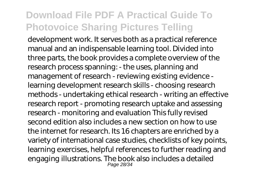development work. It serves both as a practical reference manual and an indispensable learning tool. Divided into three parts, the book provides a complete overview of the research process spanning: - the uses, planning and management of research - reviewing existing evidence learning development research skills - choosing research methods - undertaking ethical research - writing an effective research report - promoting research uptake and assessing research - monitoring and evaluation This fully revised second edition also includes a new section on how to use the internet for research. Its 16 chapters are enriched by a variety of international case studies, checklists of key points, learning exercises, helpful references to further reading and engaging illustrations. The book also includes a detailed Page 28/34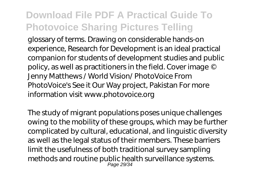glossary of terms. Drawing on considerable hands-on experience, Research for Development is an ideal practical companion for students of development studies and public policy, as well as practitioners in the field. Cover image © Jenny Matthews / World Vision/ PhotoVoice From PhotoVoice's See it Our Way project, Pakistan For more information visit www.photovoice.org

The study of migrant populations poses unique challenges owing to the mobility of these groups, which may be further complicated by cultural, educational, and linguistic diversity as well as the legal status of their members. These barriers limit the usefulness of both traditional survey sampling methods and routine public health surveillance systems. Page 29/34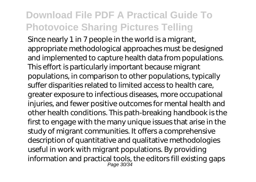Since nearly 1 in 7 people in the world is a migrant, appropriate methodological approaches must be designed and implemented to capture health data from populations. This effort is particularly important because migrant populations, in comparison to other populations, typically suffer disparities related to limited access to health care, greater exposure to infectious diseases, more occupational injuries, and fewer positive outcomes for mental health and other health conditions. This path-breaking handbook is the first to engage with the many unique issues that arise in the study of migrant communities. It offers a comprehensive description of quantitative and qualitative methodologies useful in work with migrant populations. By providing information and practical tools, the editors fill existing gaps Page 30/34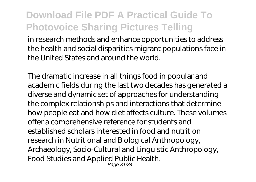in research methods and enhance opportunities to address the health and social disparities migrant populations face in the United States and around the world.

The dramatic increase in all things food in popular and academic fields during the last two decades has generated a diverse and dynamic set of approaches for understanding the complex relationships and interactions that determine how people eat and how diet affects culture. These volumes offer a comprehensive reference for students and established scholars interested in food and nutrition research in Nutritional and Biological Anthropology, Archaeology, Socio-Cultural and Linguistic Anthropology, Food Studies and Applied Public Health. Page 31/34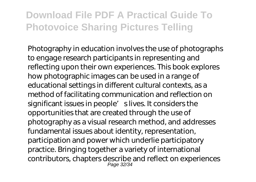Photography in education involves the use of photographs to engage research participants in representing and reflecting upon their own experiences. This book explores how photographic images can be used in a range of educational settings in different cultural contexts, as a method of facilitating communication and reflection on significant issues in people' slives. It considers the opportunities that are created through the use of photography as a visual research method, and addresses fundamental issues about identity, representation, participation and power which underlie participatory practice. Bringing together a variety of international contributors, chapters describe and reflect on experiences Page 32/34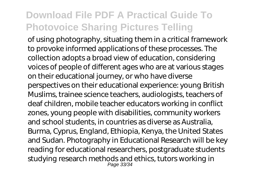of using photography, situating them in a critical framework to provoke informed applications of these processes. The collection adopts a broad view of education, considering voices of people of different ages who are at various stages on their educational journey, or who have diverse perspectives on their educational experience: young British Muslims, trainee science teachers, audiologists, teachers of deaf children, mobile teacher educators working in conflict zones, young people with disabilities, community workers and school students, in countries as diverse as Australia, Burma, Cyprus, England, Ethiopia, Kenya, the United States and Sudan. Photography in Educational Research will be key reading for educational researchers, postgraduate students studying research methods and ethics, tutors working in Page 33/34